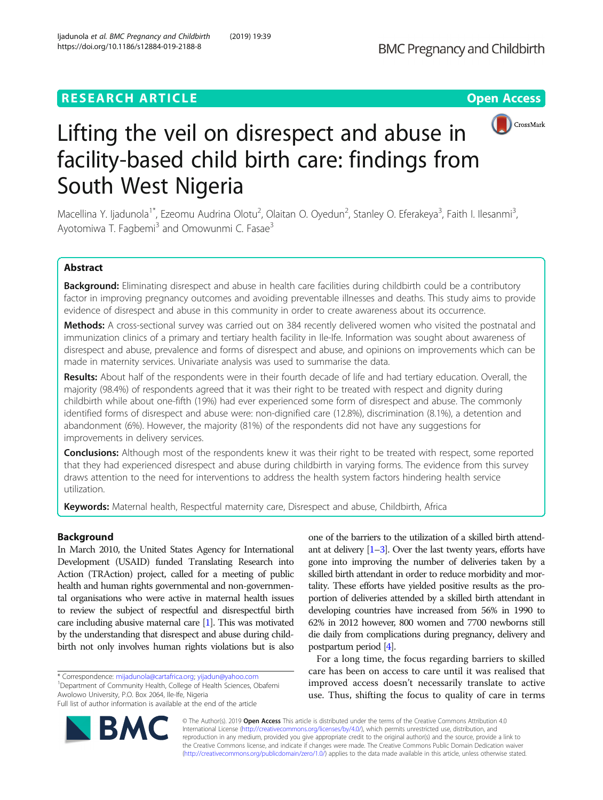## **RESEARCH ARTICLE Example 2014 12:30 The Contract of Contract ACCESS**





# Lifting the veil on disrespect and abuse in facility-based child birth care: findings from South West Nigeria

Macellina Y. Ijadunola<sup>1\*</sup>, Ezeomu Audrina Olotu<sup>2</sup>, Olaitan O. Oyedun<sup>2</sup>, Stanley O. Eferakeya<sup>3</sup>, Faith I. Ilesanmi<sup>3</sup> , Ayotomiwa T. Fagbemi<sup>3</sup> and Omowunmi C. Fasae<sup>3</sup>

## Abstract

Background: Eliminating disrespect and abuse in health care facilities during childbirth could be a contributory factor in improving pregnancy outcomes and avoiding preventable illnesses and deaths. This study aims to provide evidence of disrespect and abuse in this community in order to create awareness about its occurrence.

Methods: A cross-sectional survey was carried out on 384 recently delivered women who visited the postnatal and immunization clinics of a primary and tertiary health facility in Ile-Ife. Information was sought about awareness of disrespect and abuse, prevalence and forms of disrespect and abuse, and opinions on improvements which can be made in maternity services. Univariate analysis was used to summarise the data.

Results: About half of the respondents were in their fourth decade of life and had tertiary education. Overall, the majority (98.4%) of respondents agreed that it was their right to be treated with respect and dignity during childbirth while about one-fifth (19%) had ever experienced some form of disrespect and abuse. The commonly identified forms of disrespect and abuse were: non-dignified care (12.8%), discrimination (8.1%), a detention and abandonment (6%). However, the majority (81%) of the respondents did not have any suggestions for improvements in delivery services.

**Conclusions:** Although most of the respondents knew it was their right to be treated with respect, some reported that they had experienced disrespect and abuse during childbirth in varying forms. The evidence from this survey draws attention to the need for interventions to address the health system factors hindering health service utilization.

Keywords: Maternal health, Respectful maternity care, Disrespect and abuse, Childbirth, Africa

## Background

In March 2010, the United States Agency for International Development (USAID) funded Translating Research into Action (TRAction) project, called for a meeting of public health and human rights governmental and non-governmental organisations who were active in maternal health issues to review the subject of respectful and disrespectful birth care including abusive maternal care [\[1\]](#page-6-0). This was motivated by the understanding that disrespect and abuse during childbirth not only involves human rights violations but is also

\* Correspondence: [mijadunola@cartafrica.org;](mailto:mijadunola@cartafrica.org) [yijadun@yahoo.com](mailto:yijadun@yahoo.com) <sup>1</sup>

Department of Community Health, College of Health Sciences, Obafemi Awolowo University, P.O. Box 2064, Ile-Ife, Nigeria

BA



For a long time, the focus regarding barriers to skilled care has been on access to care until it was realised that improved access doesn't necessarily translate to active use. Thus, shifting the focus to quality of care in terms



Full list of author information is available at the end of the article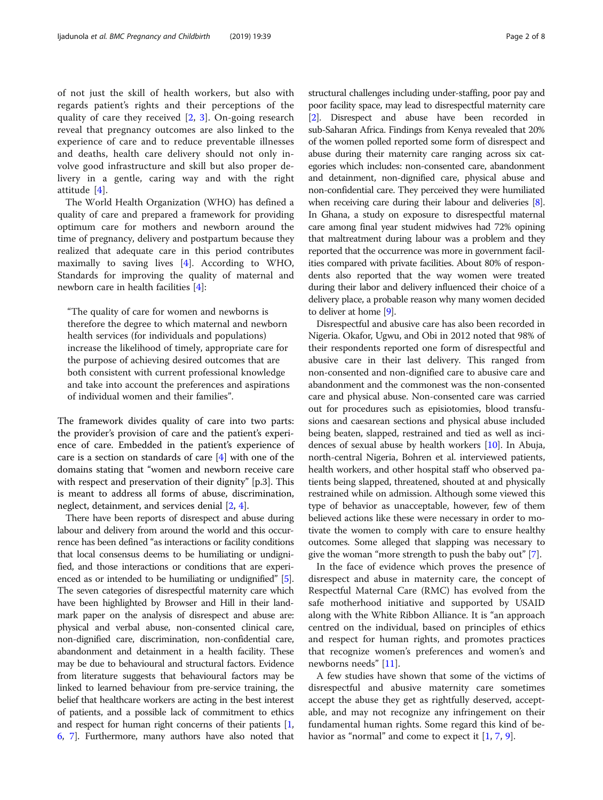of not just the skill of health workers, but also with regards patient's rights and their perceptions of the quality of care they received [[2](#page-6-0), [3](#page-6-0)]. On-going research reveal that pregnancy outcomes are also linked to the experience of care and to reduce preventable illnesses and deaths, health care delivery should not only involve good infrastructure and skill but also proper delivery in a gentle, caring way and with the right attitude [[4\]](#page-6-0).

The World Health Organization (WHO) has defined a quality of care and prepared a framework for providing optimum care for mothers and newborn around the time of pregnancy, delivery and postpartum because they realized that adequate care in this period contributes maximally to saving lives [\[4](#page-6-0)]. According to WHO, Standards for improving the quality of maternal and newborn care in health facilities [[4\]](#page-6-0):

"The quality of care for women and newborns is therefore the degree to which maternal and newborn health services (for individuals and populations) increase the likelihood of timely, appropriate care for the purpose of achieving desired outcomes that are both consistent with current professional knowledge and take into account the preferences and aspirations of individual women and their families".

The framework divides quality of care into two parts: the provider's provision of care and the patient's experience of care. Embedded in the patient's experience of care is a section on standards of care [\[4](#page-6-0)] with one of the domains stating that "women and newborn receive care with respect and preservation of their dignity" [p.3]. This is meant to address all forms of abuse, discrimination, neglect, detainment, and services denial [[2,](#page-6-0) [4\]](#page-6-0).

There have been reports of disrespect and abuse during labour and delivery from around the world and this occurrence has been defined "as interactions or facility conditions that local consensus deems to be humiliating or undignified, and those interactions or conditions that are experi-enced as or intended to be humiliating or undignified" [[5](#page-6-0)]. The seven categories of disrespectful maternity care which have been highlighted by Browser and Hill in their landmark paper on the analysis of disrespect and abuse are: physical and verbal abuse, non-consented clinical care, non-dignified care, discrimination, non-confidential care, abandonment and detainment in a health facility. These may be due to behavioural and structural factors. Evidence from literature suggests that behavioural factors may be linked to learned behaviour from pre-service training, the belief that healthcare workers are acting in the best interest of patients, and a possible lack of commitment to ethics and respect for human right concerns of their patients [[1](#page-6-0), [6](#page-6-0), [7\]](#page-6-0). Furthermore, many authors have also noted that structural challenges including under-staffing, poor pay and poor facility space, may lead to disrespectful maternity care [[2](#page-6-0)]. Disrespect and abuse have been recorded in sub-Saharan Africa. Findings from Kenya revealed that 20% of the women polled reported some form of disrespect and abuse during their maternity care ranging across six categories which includes: non-consented care, abandonment and detainment, non-dignified care, physical abuse and non-confidential care. They perceived they were humiliated when receiving care during their labour and deliveries [[8](#page-6-0)]. In Ghana, a study on exposure to disrespectful maternal care among final year student midwives had 72% opining that maltreatment during labour was a problem and they reported that the occurrence was more in government facilities compared with private facilities. About 80% of respondents also reported that the way women were treated during their labor and delivery influenced their choice of a delivery place, a probable reason why many women decided to deliver at home [[9](#page-6-0)].

Disrespectful and abusive care has also been recorded in Nigeria. Okafor, Ugwu, and Obi in 2012 noted that 98% of their respondents reported one form of disrespectful and abusive care in their last delivery. This ranged from non-consented and non-dignified care to abusive care and abandonment and the commonest was the non-consented care and physical abuse. Non-consented care was carried out for procedures such as episiotomies, blood transfusions and caesarean sections and physical abuse included being beaten, slapped, restrained and tied as well as incidences of sexual abuse by health workers [[10](#page-6-0)]. In Abuja, north-central Nigeria, Bohren et al. interviewed patients, health workers, and other hospital staff who observed patients being slapped, threatened, shouted at and physically restrained while on admission. Although some viewed this type of behavior as unacceptable, however, few of them believed actions like these were necessary in order to motivate the women to comply with care to ensure healthy outcomes. Some alleged that slapping was necessary to give the woman "more strength to push the baby out" [\[7\]](#page-6-0).

In the face of evidence which proves the presence of disrespect and abuse in maternity care, the concept of Respectful Maternal Care (RMC) has evolved from the safe motherhood initiative and supported by USAID along with the White Ribbon Alliance. It is "an approach centred on the individual, based on principles of ethics and respect for human rights, and promotes practices that recognize women's preferences and women's and newborns needs" [\[11](#page-6-0)].

A few studies have shown that some of the victims of disrespectful and abusive maternity care sometimes accept the abuse they get as rightfully deserved, acceptable, and may not recognize any infringement on their fundamental human rights. Some regard this kind of be-havior as "normal" and come to expect it [\[1](#page-6-0), [7](#page-6-0), [9](#page-6-0)].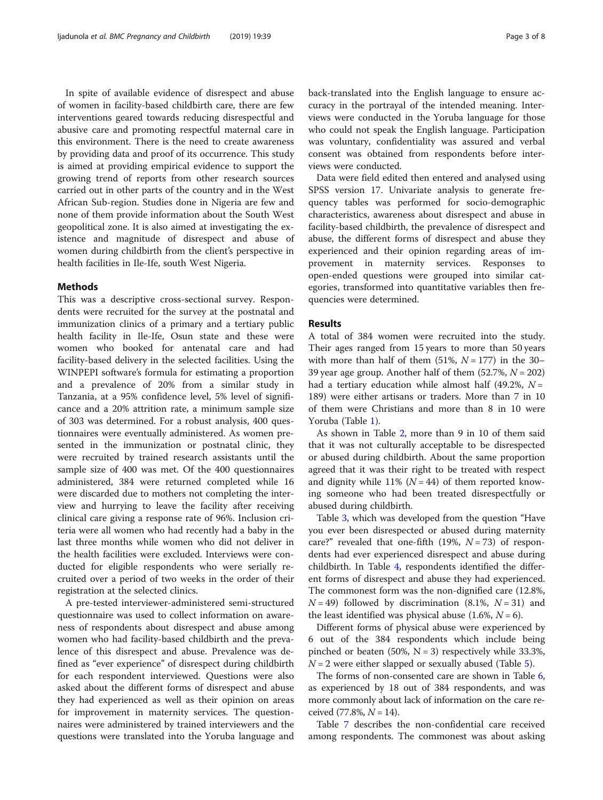In spite of available evidence of disrespect and abuse of women in facility-based childbirth care, there are few interventions geared towards reducing disrespectful and abusive care and promoting respectful maternal care in this environment. There is the need to create awareness by providing data and proof of its occurrence. This study is aimed at providing empirical evidence to support the growing trend of reports from other research sources carried out in other parts of the country and in the West African Sub-region. Studies done in Nigeria are few and none of them provide information about the South West geopolitical zone. It is also aimed at investigating the existence and magnitude of disrespect and abuse of women during childbirth from the client's perspective in health facilities in Ile-Ife, south West Nigeria.

#### Methods

This was a descriptive cross-sectional survey. Respondents were recruited for the survey at the postnatal and immunization clinics of a primary and a tertiary public health facility in Ile-Ife, Osun state and these were women who booked for antenatal care and had facility-based delivery in the selected facilities. Using the WINPEPI software's formula for estimating a proportion and a prevalence of 20% from a similar study in Tanzania, at a 95% confidence level, 5% level of significance and a 20% attrition rate, a minimum sample size of 303 was determined. For a robust analysis, 400 questionnaires were eventually administered. As women presented in the immunization or postnatal clinic, they were recruited by trained research assistants until the sample size of 400 was met. Of the 400 questionnaires administered, 384 were returned completed while 16 were discarded due to mothers not completing the interview and hurrying to leave the facility after receiving clinical care giving a response rate of 96%. Inclusion criteria were all women who had recently had a baby in the last three months while women who did not deliver in the health facilities were excluded. Interviews were conducted for eligible respondents who were serially recruited over a period of two weeks in the order of their registration at the selected clinics.

A pre-tested interviewer-administered semi-structured questionnaire was used to collect information on awareness of respondents about disrespect and abuse among women who had facility-based childbirth and the prevalence of this disrespect and abuse. Prevalence was defined as "ever experience" of disrespect during childbirth for each respondent interviewed. Questions were also asked about the different forms of disrespect and abuse they had experienced as well as their opinion on areas for improvement in maternity services. The questionnaires were administered by trained interviewers and the questions were translated into the Yoruba language and back-translated into the English language to ensure accuracy in the portrayal of the intended meaning. Interviews were conducted in the Yoruba language for those who could not speak the English language. Participation was voluntary, confidentiality was assured and verbal consent was obtained from respondents before interviews were conducted.

Data were field edited then entered and analysed using SPSS version 17. Univariate analysis to generate frequency tables was performed for socio-demographic characteristics, awareness about disrespect and abuse in facility-based childbirth, the prevalence of disrespect and abuse, the different forms of disrespect and abuse they experienced and their opinion regarding areas of improvement in maternity services. Responses to open-ended questions were grouped into similar categories, transformed into quantitative variables then frequencies were determined.

#### **Results**

A total of 384 women were recruited into the study. Their ages ranged from 15 years to more than 50 years with more than half of them  $(51\%, N = 177)$  in the 30-39 year age group. Another half of them  $(52.7\%, N = 202)$ had a tertiary education while almost half (49.2%,  $N =$ 189) were either artisans or traders. More than 7 in 10 of them were Christians and more than 8 in 10 were Yoruba (Table [1\)](#page-3-0).

As shown in Table [2,](#page-3-0) more than 9 in 10 of them said that it was not culturally acceptable to be disrespected or abused during childbirth. About the same proportion agreed that it was their right to be treated with respect and dignity while 11% ( $N = 44$ ) of them reported knowing someone who had been treated disrespectfully or abused during childbirth.

Table [3,](#page-4-0) which was developed from the question "Have you ever been disrespected or abused during maternity care?" revealed that one-fifth (19%,  $N = 73$ ) of respondents had ever experienced disrespect and abuse during childbirth. In Table [4](#page-4-0), respondents identified the different forms of disrespect and abuse they had experienced. The commonest form was the non-dignified care (12.8%,  $N = 49$ ) followed by discrimination (8.1%,  $N = 31$ ) and the least identified was physical abuse (1.6%,  $N = 6$ ).

Different forms of physical abuse were experienced by 6 out of the 384 respondents which include being pinched or beaten (50%,  $N = 3$ ) respectively while 33.3%,  $N = 2$  were either slapped or sexually abused (Table [5](#page-4-0)).

The forms of non-consented care are shown in Table [6](#page-4-0), as experienced by 18 out of 384 respondents, and was more commonly about lack of information on the care received  $(77.8\%, N = 14)$ .

Table [7](#page-5-0) describes the non-confidential care received among respondents. The commonest was about asking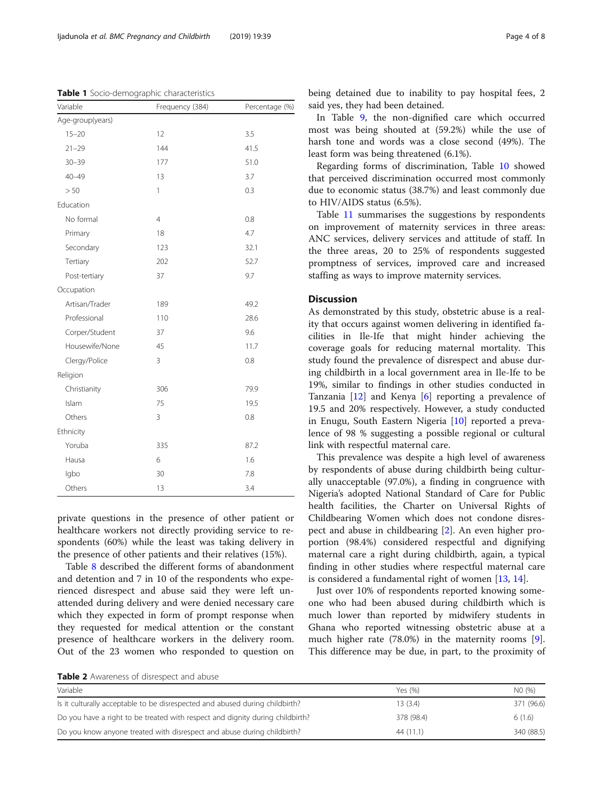<span id="page-3-0"></span>Table 1 Socio-demographic characteristics

| Variable         | Frequency (384) | Percentage (%) |
|------------------|-----------------|----------------|
| Age-group(years) |                 |                |
| $15 - 20$        | 12              | 3.5            |
| $21 - 29$        | 144             | 41.5           |
| $30 - 39$        | 177             | 51.0           |
| $40 - 49$        | 13              | 3.7            |
| > 50             | 1               | 0.3            |
| Education        |                 |                |
| No formal        | $\overline{4}$  | 0.8            |
| Primary          | 18              | 4.7            |
| Secondary        | 123             | 32.1           |
| Tertiary         | 202             | 52.7           |
| Post-tertiary    | 37              | 9.7            |
| Occupation       |                 |                |
| Artisan/Trader   | 189             | 49.2           |
| Professional     | 110             | 28.6           |
| Corper/Student   | 37              | 9.6            |
| Housewife/None   | 45              | 11.7           |
| Clergy/Police    | 3               | 0.8            |
| Religion         |                 |                |
| Christianity     | 306             | 79.9           |
| Islam            | 75              | 19.5           |
| Others           | 3               | 0.8            |
| Ethnicity        |                 |                |
| Yoruba           | 335             | 87.2           |
| Hausa            | 6               | 1.6            |
| Igbo             | 30              | 7.8            |
| Others           | 13              | 3.4            |

private questions in the presence of other patient or healthcare workers not directly providing service to respondents (60%) while the least was taking delivery in the presence of other patients and their relatives (15%).

Table [8](#page-5-0) described the different forms of abandonment and detention and 7 in 10 of the respondents who experienced disrespect and abuse said they were left unattended during delivery and were denied necessary care which they expected in form of prompt response when they requested for medical attention or the constant presence of healthcare workers in the delivery room. Out of the 23 women who responded to question on

being detained due to inability to pay hospital fees, 2 said yes, they had been detained.

In Table [9,](#page-5-0) the non-dignified care which occurred most was being shouted at (59.2%) while the use of harsh tone and words was a close second (49%). The least form was being threatened (6.1%).

Regarding forms of discrimination, Table [10](#page-5-0) showed that perceived discrimination occurred most commonly due to economic status (38.7%) and least commonly due to HIV/AIDS status (6.5%).

Table [11](#page-6-0) summarises the suggestions by respondents on improvement of maternity services in three areas: ANC services, delivery services and attitude of staff. In the three areas, 20 to 25% of respondents suggested promptness of services, improved care and increased staffing as ways to improve maternity services.

#### **Discussion**

As demonstrated by this study, obstetric abuse is a reality that occurs against women delivering in identified facilities in Ile-Ife that might hinder achieving the coverage goals for reducing maternal mortality. This study found the prevalence of disrespect and abuse during childbirth in a local government area in Ile-Ife to be 19%, similar to findings in other studies conducted in Tanzania [[12\]](#page-6-0) and Kenya [[6\]](#page-6-0) reporting a prevalence of 19.5 and 20% respectively. However, a study conducted in Enugu, South Eastern Nigeria [\[10](#page-6-0)] reported a prevalence of 98 % suggesting a possible regional or cultural link with respectful maternal care.

This prevalence was despite a high level of awareness by respondents of abuse during childbirth being culturally unacceptable (97.0%), a finding in congruence with Nigeria's adopted National Standard of Care for Public health facilities, the Charter on Universal Rights of Childbearing Women which does not condone disrespect and abuse in childbearing [\[2](#page-6-0)]. An even higher proportion (98.4%) considered respectful and dignifying maternal care a right during childbirth, again, a typical finding in other studies where respectful maternal care is considered a fundamental right of women [\[13,](#page-6-0) [14\]](#page-7-0).

Just over 10% of respondents reported knowing someone who had been abused during childbirth which is much lower than reported by midwifery students in Ghana who reported witnessing obstetric abuse at a much higher rate (78.0%) in the maternity rooms [\[9](#page-6-0)]. This difference may be due, in part, to the proximity of

Table 2 Awareness of disrespect and abuse

| Variable                                                                      | Yes (%)    | NO (%)     |
|-------------------------------------------------------------------------------|------------|------------|
| Is it culturally acceptable to be disrespected and abused during childbirth?  | 13 (3.4)   | 371 (96.6) |
| Do you have a right to be treated with respect and dignity during childbirth? | 378 (98.4) | 6(1.6)     |
| Do you know anyone treated with disrespect and abuse during childbirth?       | 44 (11.1)  | 340 (88.5) |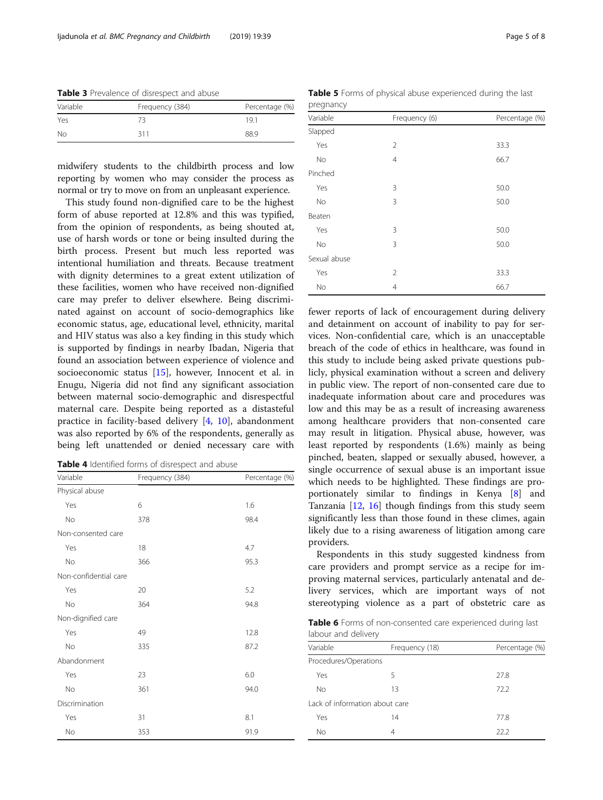<span id="page-4-0"></span>Table 3 Prevalence of disrespect and abuse

| Variable | Frequency (384) | Percentage (%) |
|----------|-----------------|----------------|
| Yes      |                 | 191            |
| No       | 311             | 88.9           |

midwifery students to the childbirth process and low reporting by women who may consider the process as normal or try to move on from an unpleasant experience.

This study found non-dignified care to be the highest form of abuse reported at 12.8% and this was typified, from the opinion of respondents, as being shouted at, use of harsh words or tone or being insulted during the birth process. Present but much less reported was intentional humiliation and threats. Because treatment with dignity determines to a great extent utilization of these facilities, women who have received non-dignified care may prefer to deliver elsewhere. Being discriminated against on account of socio-demographics like economic status, age, educational level, ethnicity, marital and HIV status was also a key finding in this study which is supported by findings in nearby Ibadan, Nigeria that found an association between experience of violence and socioeconomic status [[15\]](#page-7-0), however, Innocent et al. in Enugu, Nigeria did not find any significant association between maternal socio-demographic and disrespectful maternal care. Despite being reported as a distasteful practice in facility-based delivery [\[4](#page-6-0), [10\]](#page-6-0), abandonment was also reported by 6% of the respondents, generally as being left unattended or denied necessary care with

|  | Table 4 Identified forms of disrespect and abuse |  |  |  |  |  |
|--|--------------------------------------------------|--|--|--|--|--|
|--|--------------------------------------------------|--|--|--|--|--|

| Variable              | Frequency (384) | Percentage (%) |
|-----------------------|-----------------|----------------|
| Physical abuse        |                 |                |
| Yes                   | 6               | 1.6            |
| No                    | 378             | 98.4           |
| Non-consented care    |                 |                |
| Yes                   | 18              | 4.7            |
| No                    | 366             | 95.3           |
| Non-confidential care |                 |                |
| Yes                   | 20              | 5.2            |
| No                    | 364             | 94.8           |
| Non-dignified care    |                 |                |
| Yes                   | 49              | 12.8           |
| No                    | 335             | 87.2           |
| Abandonment           |                 |                |
| Yes                   | 23              | 6.0            |
| No                    | 361             | 94.0           |
| Discrimination        |                 |                |
| Yes                   | 31              | 8.1            |
| No                    | 353             | 91.9           |

| $P: G \rightarrow G: G \rightarrow G$ |                |                |  |  |
|---------------------------------------|----------------|----------------|--|--|
| Variable                              | Frequency (6)  | Percentage (%) |  |  |
| Slapped                               |                |                |  |  |
| Yes                                   | 2              | 33.3           |  |  |
| No                                    | $\overline{4}$ | 66.7           |  |  |
| Pinched                               |                |                |  |  |
| Yes                                   | 3              | 50.0           |  |  |
| No                                    | 3              | 50.0           |  |  |
| Beaten                                |                |                |  |  |
| Yes                                   | 3              | 50.0           |  |  |
| No                                    | 3              | 50.0           |  |  |
| Sexual abuse                          |                |                |  |  |
| Yes                                   | 2              | 33.3           |  |  |
| No                                    | $\overline{4}$ | 66.7           |  |  |

fewer reports of lack of encouragement during delivery and detainment on account of inability to pay for services. Non-confidential care, which is an unacceptable breach of the code of ethics in healthcare, was found in this study to include being asked private questions publicly, physical examination without a screen and delivery in public view. The report of non-consented care due to inadequate information about care and procedures was low and this may be as a result of increasing awareness among healthcare providers that non-consented care may result in litigation. Physical abuse, however, was least reported by respondents (1.6%) mainly as being pinched, beaten, slapped or sexually abused, however, a single occurrence of sexual abuse is an important issue which needs to be highlighted. These findings are proportionately similar to findings in Kenya [\[8](#page-6-0)] and Tanzania [\[12](#page-6-0), [16\]](#page-7-0) though findings from this study seem significantly less than those found in these climes, again likely due to a rising awareness of litigation among care providers.

Respondents in this study suggested kindness from care providers and prompt service as a recipe for improving maternal services, particularly antenatal and delivery services, which are important ways of not stereotyping violence as a part of obstetric care as

Table 6 Forms of non-consented care experienced during last labour and delivery

| Variable              | Frequency (18)                 | Percentage (%) |
|-----------------------|--------------------------------|----------------|
| Procedures/Operations |                                |                |
| Yes                   | 5                              | 27.8           |
| No                    | 13                             | 72.2           |
|                       | Lack of information about care |                |
| Yes                   | 14                             | 77.8           |
| Nο                    | 4                              | 22.2           |

|           |  |  | Table 5 Forms of physical abuse experienced during the last |  |  |
|-----------|--|--|-------------------------------------------------------------|--|--|
| pregnancy |  |  |                                                             |  |  |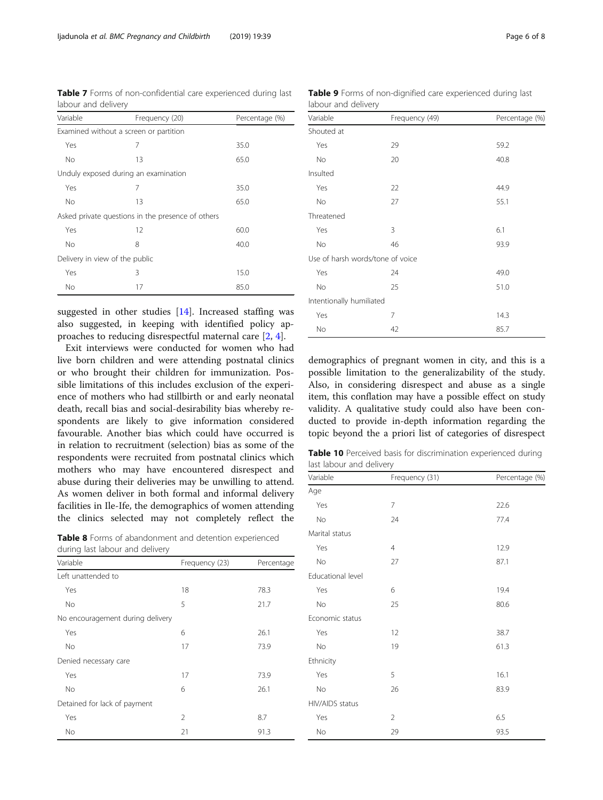<span id="page-5-0"></span>Table 7 Forms of non-confidential care experienced during last labour and delivery

| Variable                                          | Frequency (20) | Percentage (%) |  |
|---------------------------------------------------|----------------|----------------|--|
| Examined without a screen or partition            |                |                |  |
| Yes                                               | 7              | 35.0           |  |
| <b>No</b>                                         | 13             | 65.0           |  |
| Unduly exposed during an examination              |                |                |  |
| Yes                                               | 7              | 35.0           |  |
| <b>No</b>                                         | 13             | 65.0           |  |
| Asked private questions in the presence of others |                |                |  |
| Yes                                               | 12             | 60.0           |  |
| <b>No</b>                                         | 8              | 40.0           |  |
| Delivery in view of the public                    |                |                |  |
| Yes                                               | 3              | 15.0           |  |
| No                                                | 17             | 85.0           |  |

suggested in other studies [[14\]](#page-7-0). Increased staffing was also suggested, in keeping with identified policy approaches to reducing disrespectful maternal care [\[2](#page-6-0), [4](#page-6-0)].

Exit interviews were conducted for women who had live born children and were attending postnatal clinics or who brought their children for immunization. Possible limitations of this includes exclusion of the experience of mothers who had stillbirth or and early neonatal death, recall bias and social-desirability bias whereby respondents are likely to give information considered favourable. Another bias which could have occurred is in relation to recruitment (selection) bias as some of the respondents were recruited from postnatal clinics which mothers who may have encountered disrespect and abuse during their deliveries may be unwilling to attend. As women deliver in both formal and informal delivery facilities in Ile-Ife, the demographics of women attending the clinics selected may not completely reflect the

Table 8 Forms of abandonment and detention experienced during last labour and delivery

| Variable                         | Frequency (23) | Percentage |
|----------------------------------|----------------|------------|
|                                  |                |            |
| Left unattended to               |                |            |
| Yes                              | 18             | 78.3       |
| <b>No</b>                        | 5              | 21.7       |
| No encouragement during delivery |                |            |
| Yes                              | 6              | 26.1       |
| No.                              | 17             | 73.9       |
| Denied necessary care            |                |            |
| Yes                              | 17             | 73.9       |
| <b>No</b>                        | 6              | 26.1       |
| Detained for lack of payment     |                |            |
| Yes                              | 2              | 8.7        |
| No                               | 21             | 91.3       |
|                                  |                |            |

| labour and delivery |                |                |  |  |  |  |
|---------------------|----------------|----------------|--|--|--|--|
| Variable            | Frequency (49) | Percentage (%) |  |  |  |  |
| Shouted at          |                |                |  |  |  |  |
| Yes                 | 29             | 59.2           |  |  |  |  |
| <b>No</b>           | 20             | 40.8           |  |  |  |  |
| Insulted            |                |                |  |  |  |  |
| Yes                 | 22             | 44.9           |  |  |  |  |
| <b>No</b>           | 27             | 55.1           |  |  |  |  |
| Threatened          |                |                |  |  |  |  |
| Yes                 | 3              | 6.1            |  |  |  |  |
| No                  | 46             | 93.9           |  |  |  |  |

Yes 24 49.0 No 25 51.0

Yes 7 14.3 No 42 85.7

Use of harsh words/tone of voice

Intentionally humiliated

demographics of pregnant women in city, and this is a possible limitation to the generalizability of the study. Also, in considering disrespect and abuse as a single item, this conflation may have a possible effect on study validity. A qualitative study could also have been conducted to provide in-depth information regarding the topic beyond the a priori list of categories of disrespect

Table 10 Perceived basis for discrimination experienced during last labour and delivery

| Variable          | Frequency (31) | Percentage (%) |
|-------------------|----------------|----------------|
| Age               |                |                |
| Yes               | 7              | 22.6           |
| No                | 24             | 77.4           |
| Marital status    |                |                |
| Yes               | $\overline{4}$ | 12.9           |
| No                | 27             | 87.1           |
| Educational level |                |                |
| Yes               | 6              | 19.4           |
| No                | 25             | 80.6           |
| Economic status   |                |                |
| Yes               | 12             | 38.7           |
| No                | 19             | 61.3           |
| Ethnicity         |                |                |
| Yes               | 5              | 16.1           |
| No                | 26             | 83.9           |
| HIV/AIDS status   |                |                |
| Yes               | $\overline{2}$ | 6.5            |
| No                | 29             | 93.5           |

Table 9 Forms of non-dignified care experienced during last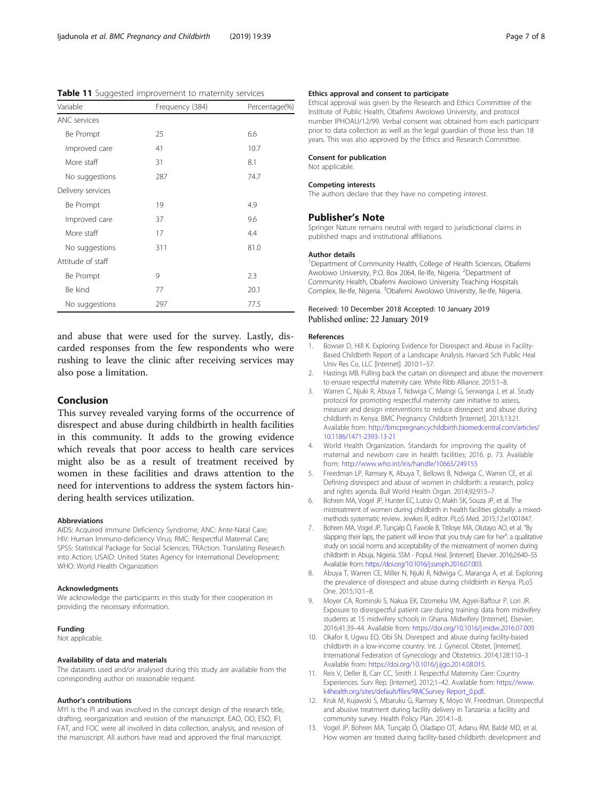<span id="page-6-0"></span>Table 11 Suggested improvement to maternity services

| Variable          | Frequency (384) | Percentage(%) |
|-------------------|-----------------|---------------|
| ANC services      |                 |               |
| Be Prompt         | 25              | 6.6           |
| Improved care     | 41              | 10.7          |
| More staff        | 31              | 8.1           |
| No suggestions    | 287             | 74.7          |
| Delivery services |                 |               |
| Be Prompt         | 19              | 4.9           |
| Improved care     | 37              | 9.6           |
| More staff        | 17              | 4.4           |
| No suggestions    | 311             | 81.0          |
| Attitude of staff |                 |               |
| Be Prompt         | 9               | 2.3           |
| Be kind           | 77              | 20.1          |
| No suggestions    | 297             | 77.5          |

and abuse that were used for the survey. Lastly, discarded responses from the few respondents who were rushing to leave the clinic after receiving services may also pose a limitation.

### Conclusion

This survey revealed varying forms of the occurrence of disrespect and abuse during childbirth in health facilities in this community. It adds to the growing evidence which reveals that poor access to health care services might also be as a result of treatment received by women in these facilities and draws attention to the need for interventions to address the system factors hindering health services utilization.

#### Abbreviations

AIDS: Acquired Immune Deficiency Syndrome; ANC: Ante-Natal Care; HIV: Human lmmuno-deficiency Virus; RMC: Respectful Maternal Care; SPSS: Statistical Package for Social Sciences; TRAction: Translating Research into Action; USAID: United States Agency for International Development; WHO: World Health Organization

#### Acknowledgments

We acknowledge the participants in this study for their cooperation in providing the necessary information.

#### Funding

Not applicable.

#### Availability of data and materials

The datasets used and/or analysed during this study are available from the corresponding author on reasonable request.

#### Author's contributions

MYI is the PI and was involved in the concept design of the research title, drafting, reorganization and revision of the manuscript. EAO, OO, ESO, IFI, FAT, and FOC were all involved in data collection, analysis, and revision of the manuscript. All authors have read and approved the final manuscript.

#### Ethics approval and consent to participate

Ethical approval was given by the Research and Ethics Committee of the Institute of Public Health, Obafemi Awolowo University, and protocol number IPHOAU/12/99. Verbal consent was obtained from each participant prior to data collection as well as the legal guardian of those less than 18 years. This was also approved by the Ethics and Research Committee.

#### Consent for publication

Not applicable.

#### Competing interests

The authors declare that they have no competing interest.

#### Publisher's Note

Springer Nature remains neutral with regard to jurisdictional claims in published maps and institutional affiliations.

#### Author details

<sup>1</sup>Department of Community Health, College of Health Sciences, Obafemi Awolowo University, P.O. Box 2064, Ile-Ife, Nigeria. <sup>2</sup>Department of Community Health, Obafemi Awolowo University Teaching Hospitals Complex, Ile-Ife, Nigeria. <sup>3</sup>Obafemi Awolowo University, Ile-Ife, Nigeria

#### Received: 10 December 2018 Accepted: 10 January 2019 Published online: 22 January 2019

#### References

- 1. Bowser D, Hill K. Exploring Evidence for Disrespect and Abuse in Facility-Based Childbirth Report of a Landscape Analysis. Harvard Sch Public Heal Univ Res Co, LLC [Internet]. 2010:1–57.
- 2. Hastings MB. Pulling back the curtain on disrespect and abuse: the movement to ensure respectful maternity care. White Ribb Alliance. 2015:1–8.
- 3. Warren C, Njuki R, Abuya T, Ndwiga C, Maingi G, Serwanga J, et al. Study protocol for promoting respectful maternity care initiative to assess, measure and design interventions to reduce disrespect and abuse during childbirth in Kenya. BMC Pregnancy Childbirth [Internet]. 2013;13:21. Available from: [http://bmcpregnancychildbirth.biomedcentral.com/articles/](http://bmcpregnancychildbirth.biomedcentral.com/articles/10.1186/1471-2393-13-21) [10.1186/1471-2393-13-21](http://bmcpregnancychildbirth.biomedcentral.com/articles/10.1186/1471-2393-13-21)
- 4. World Health Organization. Standards for improving the quality of maternal and newborn care in health facilities; 2016. p. 73. Available from: <http://www.who.int/iris/handle/10665/249155>
- 5. Freedman LP, Ramsey K, Abuya T, Bellows B, Ndwiga C, Warren CE, et al. Defining disrespect and abuse of women in childbirth: a research, policy and rights agenda. Bull World Health Organ. 2014;92:915–7.
- 6. Bohren MA, Vogel JP, Hunter EC, Lutsiv O, Makh SK, Souza JP, et al. The mistreatment of women during childbirth in health facilities globally: a mixedmethods systematic review. Jewkes R, editor. PLoS Med. 2015;12:e1001847.
- 7. Bohren MA, Vogel JP, Tunçalp Ö, Fawole B, Titiloye MA, Olutayo AO, et al. "By slapping their laps, the patient will know that you truly care for her": a qualitative study on social norms and acceptability of the mistreatment of women during childbirth in Abuja, Nigeria. SSM - Popul. Heal. [internet]. Elsevier. 2016;2:640–55 Available from: [https://doi.org/10.1016/j.ssmph.2016.07.003.](https://doi.org/10.1016/j.ssmph.2016.07.003)
- 8. Abuya T, Warren CE, Miller N, Njuki R, Ndwiga C, Maranga A, et al. Exploring the prevalence of disrespect and abuse during childbirth in Kenya. PLoS One. 2015;10:1–8.
- 9. Moyer CA, Rominski S, Nakua EK, Dzomeku VM, Agyei-Baffour P, Lori JR. Exposure to disrespectful patient care during training: data from midwifery students at 15 midwifery schools in Ghana. Midwifery [Internet]. Elsevier; 2016;41:39–44. Available from: <https://doi.org/10.1016/j.midw.2016.07.009>
- 10. Okafor II, Ugwu EO, Obi SN. Disrespect and abuse during facility-based childbirth in a low-income country. Int. J. Gynecol. Obstet. [Internet]. International Federation of Gynecology and Obstetrics. 2014;128:110–3 Available from: [https://doi.org/10.1016/j.ijgo.2014.08.015.](https://doi.org/10.1016/j.ijgo.2014.08.015)
- 11. Reis V, Deller B, Carr CC, Smith J. Respectful Maternity Care: Country Experiences. Surv Rep. [Internet]. 2012;1–42. Available from: [https://www.](https://www.k4health.org/sites/default/files/RMCSurvey%20Report_0.pdf) [k4health.org/sites/default/files/RMCSurvey Report\\_0.pdf.](https://www.k4health.org/sites/default/files/RMCSurvey%20Report_0.pdf)
- 12. Kruk M, Kujawski S, Mbaruku G, Ramsey K, Moyo W. Freedman. Disrespectful and abusive treatment during facility delivery in Tanzania: a facility and community survey. Health Policy Plan. 2014:1–8.
- 13. Vogel JP, Bohren MA, Tunçalp Ö, Oladapo OT, Adanu RM, Baldé MD, et al. How women are treated during facility-based childbirth: development and